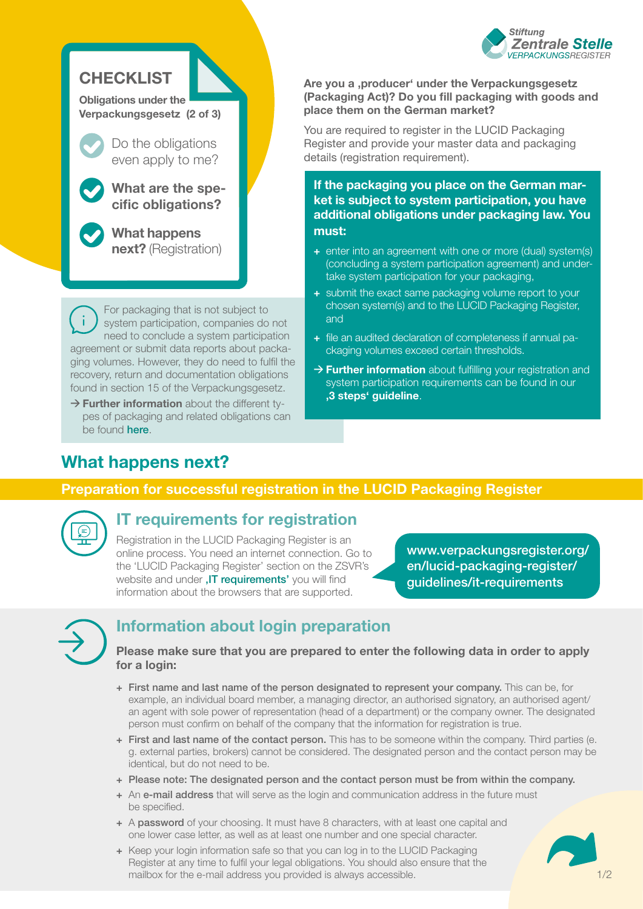

## **CHECKLIST**

**Obligations under the Verpackungsgesetz (2 of 3)**

> Do the obligations even apply to me?

**What are the specific obligations?** 

**What happens next?** (Registration)

For packaging that is not subject to system participation, companies do not need to conclude a system participation agreement or submit data reports about packaging volumes. However, they do need to fulfil the recovery, return and documentation obligations found in section 15 of the Verpackungsgesetz.

→ **Further information** about the different types of packaging and related obligations can be found **[here](https://www.verpackungsregister.org/fileadmin/files/Themenpaketseiten/Graphic_Packaging_subject_to_system_participation_and_packaging_not_subject_to_system_participation.pdf)**.

#### Are you a ,producer' under the Verpackungsgesetz **(Packaging Act)? Do you fill packaging with goods and place them on the German market?**

You are required to register in the LUCID Packaging Register and provide your master data and packaging details (registration requirement).

**If the packaging you place on the German market is subject to system participation, you have additional obligations under packaging law. You must:** 

- **+** enter into an agreement with one or more (dual) system(s) (concluding a system participation agreement) and undertake system participation for your packaging,
- **+** submit the exact same packaging volume report to your chosen system(s) and to the LUCID Packaging Register, and
- **+** file an audited declaration of completeness if annual packaging volumes exceed certain thresholds.
- **→ Further information** about fulfilling your registration and system participation requirements can be found in our **['3 steps' guideline](https://www.verpackungsregister.org/fileadmin/files/Themenpaketseiten/Checklist_3_steps_to_help_you_fulfil_the_registration_and_system_participation_requirements.pdf)**.

# **What happens next?**

### **Preparation for successful registration in the LUCID Packaging Register**



### **IT requirements for registration**

Registration in the LUCID Packaging Register is an online process. You need an internet connection. Go to the 'LUCID Packaging Register' section on the ZSVR's website and under . IT requirements' you will find information about the browsers that are supported.

[www.verpackungsregister.org/](https://www.verpackungsregister.org/en/lucid-packaging-register/guidelines/it-requirements) [en/lucid-packaging-register/](https://www.verpackungsregister.org/en/lucid-packaging-register/guidelines/it-requirements) [guidelines/it-requirements](https://www.verpackungsregister.org/en/lucid-packaging-register/guidelines/it-requirements) 



## **Information about login preparation**

### **Please make sure that you are prepared to enter the following data in order to apply for a login:**

- **+** First name and last name of the person designated to represent your company. This can be, for example, an individual board member, a managing director, an authorised signatory, an authorised agent/ an agent with sole power of representation (head of a department) or the company owner. The designated person must confirm on behalf of the company that the information for registration is true.
- **+** First and last name of the contact person. This has to be someone within the company. Third parties (e. g. external parties, brokers) cannot be considered. The designated person and the contact person may be identical, but do not need to be.
- **+** Please note: The designated person and the contact person must be from within the company.
- **+** An e-mail address that will serve as the login and communication address in the future must be specified.
- **+** A password of your choosing. It must have 8 characters, with at least one capital and one lower case letter, as well as at least one number and one special character.
- **+** Keep your login information safe so that you can log in to the LUCID Packaging Register at any time to fulfil your legal obligations. You should also ensure that the mailbox for the e-mail address you provided is always accessible.